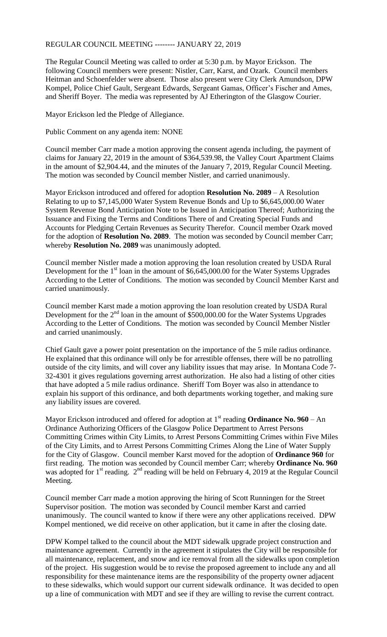## REGULAR COUNCIL MEETING -------- JANUARY 22, 2019

The Regular Council Meeting was called to order at 5:30 p.m. by Mayor Erickson. The following Council members were present: Nistler, Carr, Karst, and Ozark. Council members Heitman and Schoenfelder were absent. Those also present were City Clerk Amundson, DPW Kompel, Police Chief Gault, Sergeant Edwards, Sergeant Gamas, Officer's Fischer and Ames, and Sheriff Boyer. The media was represented by AJ Etherington of the Glasgow Courier.

Mayor Erickson led the Pledge of Allegiance.

Public Comment on any agenda item: NONE

Council member Carr made a motion approving the consent agenda including, the payment of claims for January 22, 2019 in the amount of \$364,539.98, the Valley Court Apartment Claims in the amount of \$2,904.44, and the minutes of the January 7, 2019, Regular Council Meeting. The motion was seconded by Council member Nistler, and carried unanimously.

Mayor Erickson introduced and offered for adoption **Resolution No. 2089** – A Resolution Relating to up to \$7,145,000 Water System Revenue Bonds and Up to \$6,645,000.00 Water System Revenue Bond Anticipation Note to be Issued in Anticipation Thereof; Authorizing the Issuance and Fixing the Terms and Conditions There of and Creating Special Funds and Accounts for Pledging Certain Revenues as Security Therefor. Council member Ozark moved for the adoption of **Resolution No. 2089**. The motion was seconded by Council member Carr; whereby **Resolution No. 2089** was unanimously adopted.

Council member Nistler made a motion approving the loan resolution created by USDA Rural Development for the 1<sup>st</sup> loan in the amount of \$6,645,000.00 for the Water Systems Upgrades According to the Letter of Conditions. The motion was seconded by Council Member Karst and carried unanimously.

Council member Karst made a motion approving the loan resolution created by USDA Rural Development for the  $2<sup>nd</sup>$  loan in the amount of \$500,000.00 for the Water Systems Upgrades According to the Letter of Conditions. The motion was seconded by Council Member Nistler and carried unanimously.

Chief Gault gave a power point presentation on the importance of the 5 mile radius ordinance. He explained that this ordinance will only be for arrestible offenses, there will be no patrolling outside of the city limits, and will cover any liability issues that may arise. In Montana Code 7- 32-4301 it gives regulations governing arrest authorization. He also had a listing of other cities that have adopted a 5 mile radius ordinance. Sheriff Tom Boyer was also in attendance to explain his support of this ordinance, and both departments working together, and making sure any liability issues are covered.

Mayor Erickson introduced and offered for adoption at  $1<sup>st</sup>$  reading **Ordinance No. 960** – An Ordinance Authorizing Officers of the Glasgow Police Department to Arrest Persons Committing Crimes within City Limits, to Arrest Persons Committing Crimes within Five Miles of the City Limits, and to Arrest Persons Committing Crimes Along the Line of Water Supply for the City of Glasgow. Council member Karst moved for the adoption of **Ordinance 960** for first reading. The motion was seconded by Council member Carr; whereby **Ordinance No. 960** was adopted for 1<sup>st</sup> reading. 2<sup>nd</sup> reading will be held on February 4, 2019 at the Regular Council Meeting.

Council member Carr made a motion approving the hiring of Scott Runningen for the Street Supervisor position. The motion was seconded by Council member Karst and carried unanimously. The council wanted to know if there were any other applications received. DPW Kompel mentioned, we did receive on other application, but it came in after the closing date.

DPW Kompel talked to the council about the MDT sidewalk upgrade project construction and maintenance agreement. Currently in the agreement it stipulates the City will be responsible for all maintenance, replacement, and snow and ice removal from all the sidewalks upon completion of the project. His suggestion would be to revise the proposed agreement to include any and all responsibility for these maintenance items are the responsibility of the property owner adjacent to these sidewalks, which would support our current sidewalk ordinance. It was decided to open up a line of communication with MDT and see if they are willing to revise the current contract.